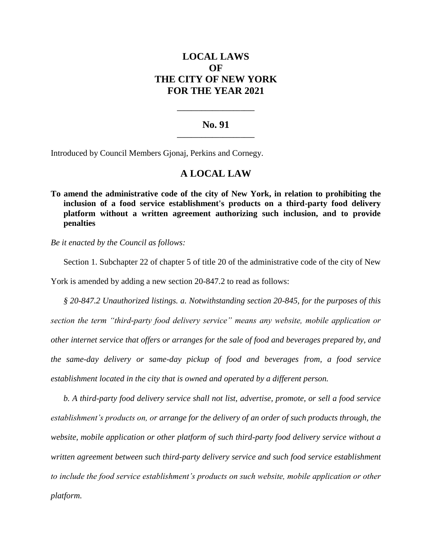# **LOCAL LAWS OF THE CITY OF NEW YORK FOR THE YEAR 2021**

### **No. 91 \_\_\_\_\_\_\_\_\_\_\_\_\_\_\_\_\_\_\_\_\_\_**

**\_\_\_\_\_\_\_\_\_\_\_\_\_\_\_\_\_\_\_\_\_\_**

Introduced by Council Members Gjonaj, Perkins and Cornegy.

## **A LOCAL LAW**

**To amend the administrative code of the city of New York, in relation to prohibiting the inclusion of a food service establishment's products on a third-party food delivery platform without a written agreement authorizing such inclusion, and to provide penalties**

*Be it enacted by the Council as follows:*

Section 1. Subchapter 22 of chapter 5 of title 20 of the administrative code of the city of New

York is amended by adding a new section 20-847.2 to read as follows:

*§ 20-847.2 Unauthorized listings. a. Notwithstanding section 20-845, for the purposes of this section the term "third-party food delivery service" means any website, mobile application or other internet service that offers or arranges for the sale of food and beverages prepared by, and the same-day delivery or same-day pickup of food and beverages from, a food service establishment located in the city that is owned and operated by a different person.*

*b. A third-party food delivery service shall not list, advertise, promote, or sell a food service establishment's products on, or arrange for the delivery of an order of such products through, the website, mobile application or other platform of such third-party food delivery service without a written agreement between such third-party delivery service and such food service establishment to include the food service establishment's products on such website, mobile application or other platform.*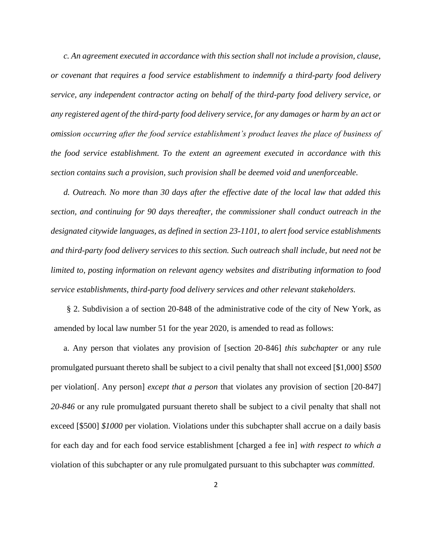*c. An agreement executed in accordance with this section shall not include a provision, clause, or covenant that requires a food service establishment to indemnify a third-party food delivery service, any independent contractor acting on behalf of the third-party food delivery service, or any registered agent of the third-party food delivery service, for any damages or harm by an act or omission occurring after the food service establishment's product leaves the place of business of the food service establishment. To the extent an agreement executed in accordance with this section contains such a provision, such provision shall be deemed void and unenforceable.*

*d. Outreach. No more than 30 days after the effective date of the local law that added this section, and continuing for 90 days thereafter, the commissioner shall conduct outreach in the designated citywide languages, as defined in section 23-1101, to alert food service establishments and third-party food delivery services to this section. Such outreach shall include, but need not be limited to, posting information on relevant agency websites and distributing information to food service establishments, third-party food delivery services and other relevant stakeholders.*

§ 2. Subdivision a of section 20-848 of the administrative code of the city of New York, as amended by local law number 51 for the year 2020, is amended to read as follows:

a. Any person that violates any provision of [section 20-846] *this subchapter* or any rule promulgated pursuant thereto shall be subject to a civil penalty that shall not exceed [\$1,000] *\$500* per violation[. Any person] *except that a person* that violates any provision of section [20-847] *20-846* or any rule promulgated pursuant thereto shall be subject to a civil penalty that shall not exceed [\$500] *\$1000* per violation. Violations under this subchapter shall accrue on a daily basis for each day and for each food service establishment [charged a fee in] *with respect to which a* violation of this subchapter or any rule promulgated pursuant to this subchapter *was committed*.